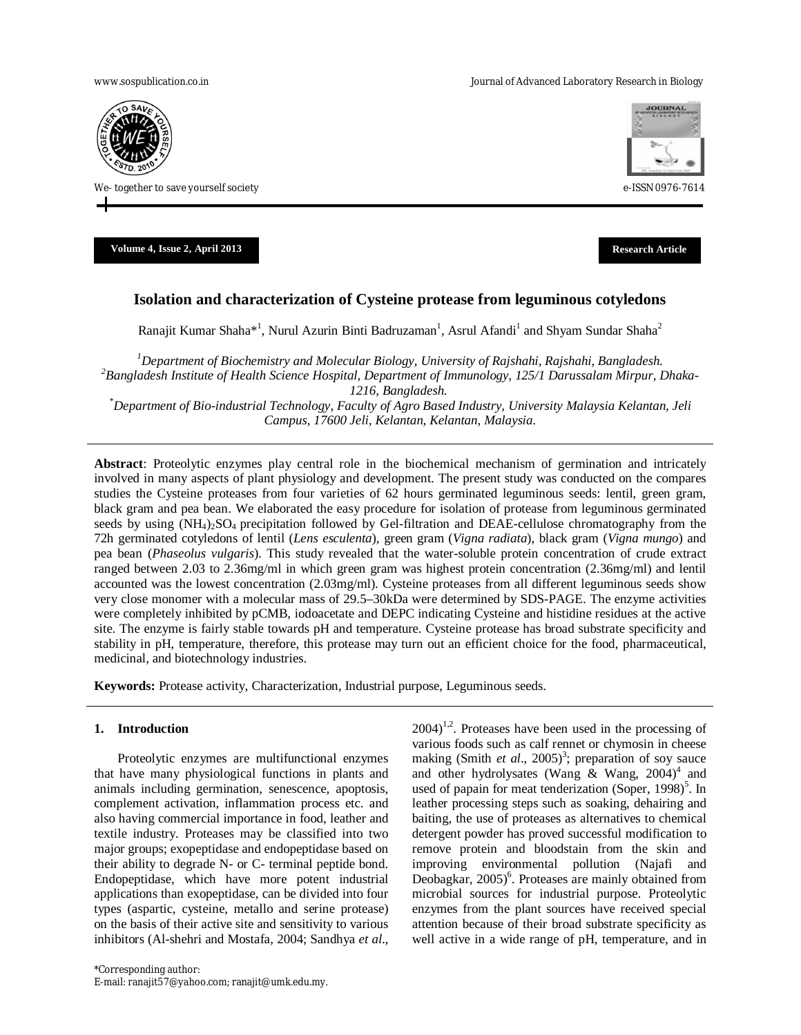www.sospublication.co.in **Variable 2018** and the Journal of Advanced Laboratory Research in Biology



We- together to save yourself society e-ISSN 0976-7614



**Volume 4, Issue 2, April 2013 Research Article**

# **Isolation and characterization of Cysteine protease from leguminous cotyledons**

Ranajit Kumar Shaha $*$ <sup>1</sup>, Nurul Azurin Binti Badruzaman<sup>1</sup>, Asrul Afandi<sup>1</sup> and Shyam Sundar Shaha<sup>2</sup>

*<sup>1</sup>Department of Biochemistry and Molecular Biology, University of Rajshahi, Rajshahi, Bangladesh. <sup>2</sup>Bangladesh Institute of Health Science Hospital, Department of Immunology, 125/1 Darussalam Mirpur, Dhaka-1216, Bangladesh.*

*\*Department of Bio-industrial Technology, Faculty of Agro Based Industry, University Malaysia Kelantan, Jeli Campus, 17600 Jeli, Kelantan, Kelantan, Malaysia.*

**Abstract**: Proteolytic enzymes play central role in the biochemical mechanism of germination and intricately involved in many aspects of plant physiology and development. The present study was conducted on the compares studies the Cysteine proteases from four varieties of 62 hours germinated leguminous seeds: lentil, green gram, black gram and pea bean. We elaborated the easy procedure for isolation of protease from leguminous germinated seeds by using  $(NH<sub>4</sub>)<sub>2</sub>SO<sub>4</sub>$  precipitation followed by Gel-filtration and DEAE-cellulose chromatography from the 72h germinated cotyledons of lentil (*Lens esculenta*), green gram (*Vigna radiata*), black gram (*Vigna mungo*) and pea bean (*Phaseolus vulgaris*). This study revealed that the water-soluble protein concentration of crude extract ranged between 2.03 to 2.36mg/ml in which green gram was highest protein concentration (2.36mg/ml) and lentil accounted was the lowest concentration (2.03mg/ml). Cysteine proteases from all different leguminous seeds show very close monomer with a molecular mass of 29.5–30kDa were determined by SDS-PAGE. The enzyme activities were completely inhibited by pCMB, iodoacetate and DEPC indicating Cysteine and histidine residues at the active site. The enzyme is fairly stable towards pH and temperature. Cysteine protease has broad substrate specificity and stability in pH, temperature, therefore, this protease may turn out an efficient choice for the food, pharmaceutical, medicinal, and biotechnology industries.

**Keywords:** Protease activity, Characterization, Industrial purpose, Leguminous seeds.

## **1. Introduction**

Proteolytic enzymes are multifunctional enzymes that have many physiological functions in plants and animals including germination, senescence, apoptosis, complement activation, inflammation process etc. and also having commercial importance in food, leather and textile industry. Proteases may be classified into two major groups; exopeptidase and endopeptidase based on their ability to degrade N- or C- terminal peptide bond. Endopeptidase, which have more potent industrial applications than exopeptidase, can be divided into four types (aspartic, cysteine, metallo and serine protease) on the basis of their active site and sensitivity to various inhibitors (Al-shehri and Mostafa, 2004; Sandhya *et al*.,

 $2004$ <sup>1,2</sup>. Proteases have been used in the processing of various foods such as calf rennet or chymosin in cheese making (Smith *et al.*, 2005)<sup>3</sup>; preparation of soy sauce and other hydrolysates (Wang & Wang,  $2004$ )<sup>4</sup> and used of papain for meat tenderization (Soper, 1998)<sup>5</sup>. In leather processing steps such as soaking, dehairing and baiting, the use of proteases as alternatives to chemical detergent powder has proved successful modification to remove protein and bloodstain from the skin and improving environmental pollution (Najafi and Deobagkar, 2005)<sup>6</sup>. Proteases are mainly obtained from microbial sources for industrial purpose. Proteolytic enzymes from the plant sources have received special attention because of their broad substrate specificity as well active in a wide range of pH, temperature, and in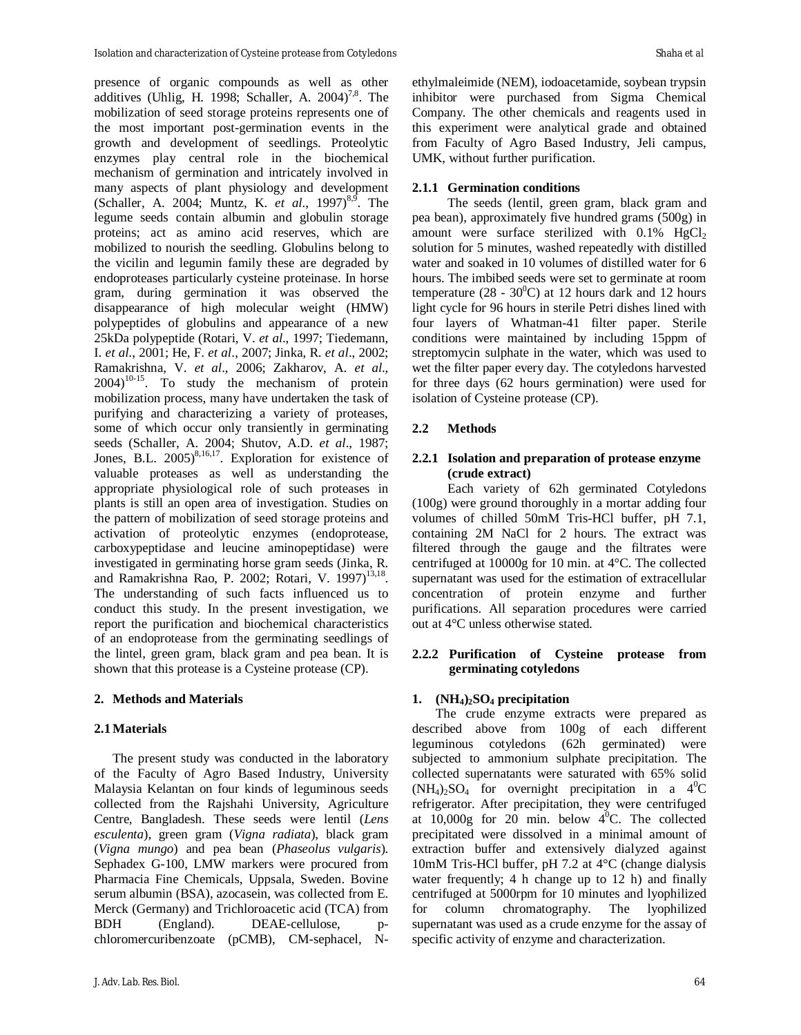presence of organic compounds as well as other additives (Uhlig, H. 1998; Schaller, A.  $2004$ <sup>7,8</sup>. The mobilization of seed storage proteins represents one of the most important post-germination events in the growth and development of seedlings. Proteolytic enzymes play central role in the biochemical mechanism of germination and intricately involved in many aspects of plant physiology and development (Schaller, A. 2004; Muntz, K. *et al.*, 1997)<sup>8,9</sup>. The legume seeds contain albumin and globulin storage proteins; act as amino acid reserves, which are mobilized to nourish the seedling. Globulins belong to the vicilin and legumin family these are degraded by endoproteases particularly cysteine proteinase. In horse gram, during germination it was observed the disappearance of high molecular weight (HMW) polypeptides of globulins and appearance of a new 25kDa polypeptide (Rotari, V. *et al*., 1997; Tiedemann, I. *et al*., 2001; He, F. *et al*., 2007; Jinka, R. *et al*., 2002; Ramakrishna, V. *et al*., 2006; Zakharov, A. *et al*.,  $2004$ <sup>10-15</sup>. To study the mechanism of protein mobilization process, many have undertaken the task of purifying and characterizing a variety of proteases, some of which occur only transiently in germinating seeds (Schaller, A. 2004; Shutov, A.D. *et al*., 1987; Jones, B.L.  $2005)^{8,16,17}$ . Exploration for existence of valuable proteases as well as understanding the appropriate physiological role of such proteases in plants is still an open area of investigation. Studies on the pattern of mobilization of seed storage proteins and activation of proteolytic enzymes (endoprotease, carboxypeptidase and leucine aminopeptidase) were investigated in germinating horse gram seeds (Jinka, R. and Ramakrishna Rao, P. 2002; Rotari, V. 1997)<sup>13,18</sup>. The understanding of such facts influenced us to conduct this study. In the present investigation, we report the purification and biochemical characteristics of an endoprotease from the germinating seedlings of the lintel, green gram, black gram and pea bean. It is shown that this protease is a Cysteine protease (CP).

# **2. Methods and Materials**

## **2.1Materials**

The present study was conducted in the laboratory of the Faculty of Agro Based Industry, University Malaysia Kelantan on four kinds of leguminous seeds collected from the Rajshahi University, Agriculture Centre, Bangladesh. These seeds were lentil (*Lens esculenta*), green gram (*Vigna radiata*), black gram (*Vigna mungo*) and pea bean (*Phaseolus vulgaris*). Sephadex G-100, LMW markers were procured from Pharmacia Fine Chemicals, Uppsala, Sweden. Bovine serum albumin (BSA), azocasein, was collected from E. Merck (Germany) and Trichloroacetic acid (TCA) from BDH (England). DEAE-cellulose, pchloromercuribenzoate (pCMB), CM-sephacel, N-

ethylmaleimide (NEM), iodoacetamide, soybean trypsin inhibitor were purchased from Sigma Chemical Company. The other chemicals and reagents used in this experiment were analytical grade and obtained from Faculty of Agro Based Industry, Jeli campus, UMK, without further purification.

# **2.1.1 Germination conditions**

The seeds (lentil, green gram, black gram and pea bean), approximately five hundred grams (500g) in amount were surface sterilized with  $0.1\%$  HgCl<sub>2</sub> solution for 5 minutes, washed repeatedly with distilled water and soaked in 10 volumes of distilled water for 6 hours. The imbibed seeds were set to germinate at room temperature (28 -  $30^0$ C) at 12 hours dark and 12 hours light cycle for 96 hours in sterile Petri dishes lined with four layers of Whatman-41 filter paper. Sterile conditions were maintained by including 15ppm of streptomycin sulphate in the water, which was used to wet the filter paper every day. The cotyledons harvested for three days (62 hours germination) were used for isolation of Cysteine protease (CP).

# **2.2 Methods**

# **2.2.1 Isolation and preparation of protease enzyme (crude extract)**

Each variety of 62h germinated Cotyledons (100g) were ground thoroughly in a mortar adding four volumes of chilled 50mM Tris-HCl buffer, pH 7.1, containing 2M NaCl for 2 hours. The extract was filtered through the gauge and the filtrates were centrifuged at 10000g for 10 min. at 4°C. The collected supernatant was used for the estimation of extracellular concentration of protein enzyme and further purifications. All separation procedures were carried out at 4°C unless otherwise stated.

# **2.2.2 Purification of Cysteine protease from germinating cotyledons**

# **1. (NH4)2SO<sup>4</sup> precipitation**

The crude enzyme extracts were prepared as described above from 100g of each different leguminous cotyledons (62h germinated) were subjected to ammonium sulphate precipitation. The collected supernatants were saturated with 65% solid  $(NH_4)_2SO_4$  for overnight precipitation in a  $4^0C$ refrigerator. After precipitation, they were centrifuged at  $10,000g$  for 20 min. below  $4^0C$ . The collected precipitated were dissolved in a minimal amount of extraction buffer and extensively dialyzed against 10mM Tris-HCl buffer, pH 7.2 at 4°C (change dialysis water frequently; 4 h change up to 12 h) and finally centrifuged at 5000rpm for 10 minutes and lyophilized for column chromatography. The lyophilized supernatant was used as a crude enzyme for the assay of specific activity of enzyme and characterization.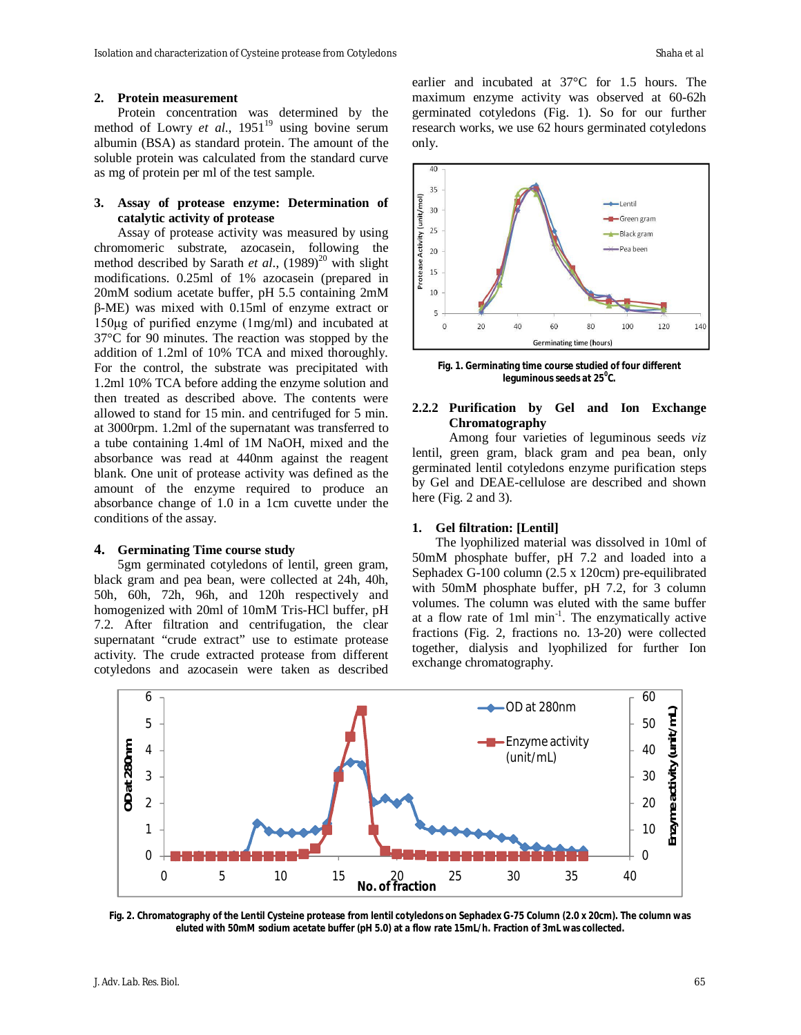Protein concentration was determined by the method of Lowry *et al.*, 1951<sup>19</sup> using bovine serum albumin (BSA) as standard protein. The amount of the soluble protein was calculated from the standard curve as mg of protein per ml of the test sample.

## **3. Assay of protease enzyme: Determination of catalytic activity of protease**

Assay of protease activity was measured by using chromomeric substrate, azocasein, following the method described by Sarath *et al.*, (1989)<sup>20</sup> with slight modifications. 0.25ml of 1% azocasein (prepared in 20mM sodium acetate buffer, pH 5.5 containing 2mM β-ME) was mixed with 0.15ml of enzyme extract or 150μg of purified enzyme (1mg/ml) and incubated at 37°C for 90 minutes. The reaction was stopped by the addition of 1.2ml of 10% TCA and mixed thoroughly. For the control, the substrate was precipitated with 1.2ml 10% TCA before adding the enzyme solution and then treated as described above. The contents were allowed to stand for 15 min. and centrifuged for 5 min. at 3000rpm. 1.2ml of the supernatant was transferred to a tube containing 1.4ml of 1M NaOH, mixed and the absorbance was read at 440nm against the reagent blank. One unit of protease activity was defined as the amount of the enzyme required to produce an absorbance change of 1.0 in a 1cm cuvette under the conditions of the assay.

## **4. Germinating Time course study**

5gm germinated cotyledons of lentil, green gram, black gram and pea bean, were collected at 24h, 40h, 50h, 60h, 72h, 96h, and 120h respectively and homogenized with 20ml of 10mM Tris-HCl buffer, pH 7.2. After filtration and centrifugation, the clear supernatant "crude extract" use to estimate protease activity. The crude extracted protease from different cotyledons and azocasein were taken as described

earlier and incubated at 37°C for 1.5 hours. The maximum enzyme activity was observed at 60-62h germinated cotyledons (Fig. 1). So for our further research works, we use 62 hours germinated cotyledons only.



**Fig. 1. Germinating time course studied of four different leguminous seeds at 25<sup>0</sup> C.**

## **2.2.2 Purification by Gel and Ion Exchange Chromatography**

Among four varieties of leguminous seeds *viz* lentil, green gram, black gram and pea bean, only germinated lentil cotyledons enzyme purification steps by Gel and DEAE-cellulose are described and shown here (Fig. 2 and 3).

### **1. Gel filtration: [Lentil]**

The lyophilized material was dissolved in 10ml of 50mM phosphate buffer, pH 7.2 and loaded into a Sephadex G-100 column (2.5 x 120cm) pre-equilibrated with 50mM phosphate buffer, pH 7.2, for 3 column volumes. The column was eluted with the same buffer at a flow rate of  $1ml$  min<sup>-1</sup>. The enzymatically active fractions (Fig. 2, fractions no. 13-20) were collected together, dialysis and lyophilized for further Ion exchange chromatography.



**Fig. 2. Chromatography of the Lentil Cysteine protease from lentil cotyledons on Sephadex G-75 Column (2.0 x 20cm). The column was eluted with 50mM sodium acetate buffer (pH 5.0) at a flow rate 15mL/h. Fraction of 3mL was collected.**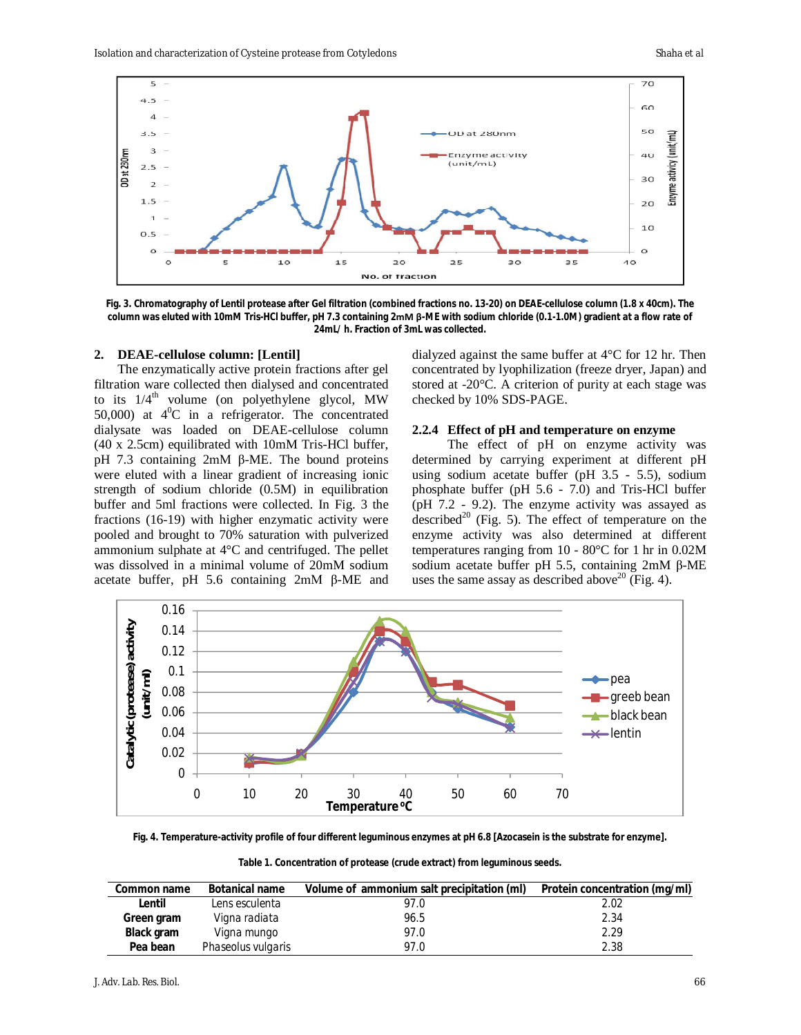

**Fig. 3. Chromatography of Lentil protease after Gel filtration (combined fractions no. 13-20) on DEAE-cellulose column (1.8 x 40cm). The column was eluted with 10mM Tris-HCl buffer, pH 7.3 containing 2mM β-ME with sodium chloride (0.1-1.0M) gradient at a flow rate of 24mL/ h. Fraction of 3mL was collected.**

#### **2. DEAE-cellulose column: [Lentil]**

The enzymatically active protein fractions after gel filtration ware collected then dialysed and concentrated to its  $1/4^{\text{th}}$  volume (on polyethylene glycol, MW 50,000) at  $4^{\circ}$ C in a refrigerator. The concentrated dialysate was loaded on DEAE-cellulose column (40 x 2.5cm) equilibrated with 10mM Tris-HCl buffer, pH 7.3 containing 2mM β-ME. The bound proteins were eluted with a linear gradient of increasing ionic strength of sodium chloride (0.5M) in equilibration buffer and 5ml fractions were collected. In Fig. 3 the fractions (16-19) with higher enzymatic activity were pooled and brought to 70% saturation with pulverized ammonium sulphate at 4°C and centrifuged. The pellet was dissolved in a minimal volume of 20mM sodium acetate buffer, pH 5.6 containing 2mM β-ME and

dialyzed against the same buffer at 4°C for 12 hr. Then concentrated by lyophilization (freeze dryer, Japan) and stored at -20°C. A criterion of purity at each stage was checked by 10% SDS-PAGE.

## **2.2.4 Effect of pH and temperature on enzyme**

The effect of pH on enzyme activity was determined by carrying experiment at different pH using sodium acetate buffer (pH 3.5 - 5.5), sodium phosphate buffer (pH 5.6 - 7.0) and Tris-HCl buffer (pH 7.2 - 9.2). The enzyme activity was assayed as described<sup>20</sup> (Fig. 5). The effect of temperature on the enzyme activity was also determined at different temperatures ranging from 10 - 80°C for 1 hr in 0.02M sodium acetate buffer pH 5.5, containing 2mM β-ME uses the same assay as described above<sup>20</sup> (Fig. 4).



**Fig. 4. Temperature-activity profile of four different leguminous enzymes at pH 6.8 [Azocasein is the substrate for enzyme].**

**Table 1. Concentration of protease (crude extract) from leguminous seeds.**

| Common name | <b>Botanical name</b> | Volume of ammonium salt precipitation (ml) | Protein concentration (mg/ml) |
|-------------|-----------------------|--------------------------------------------|-------------------------------|
| Lentil      | Lens esculenta        | 97.0                                       | 2.02                          |
| Green gram  | Vigna radiata         | 96.5                                       | 2.34                          |
| Black gram  | Vigna mungo           | 97.0                                       | 2.29                          |
| Pea bean    | Phaseolus vulgaris    | 97.0                                       | 2.38                          |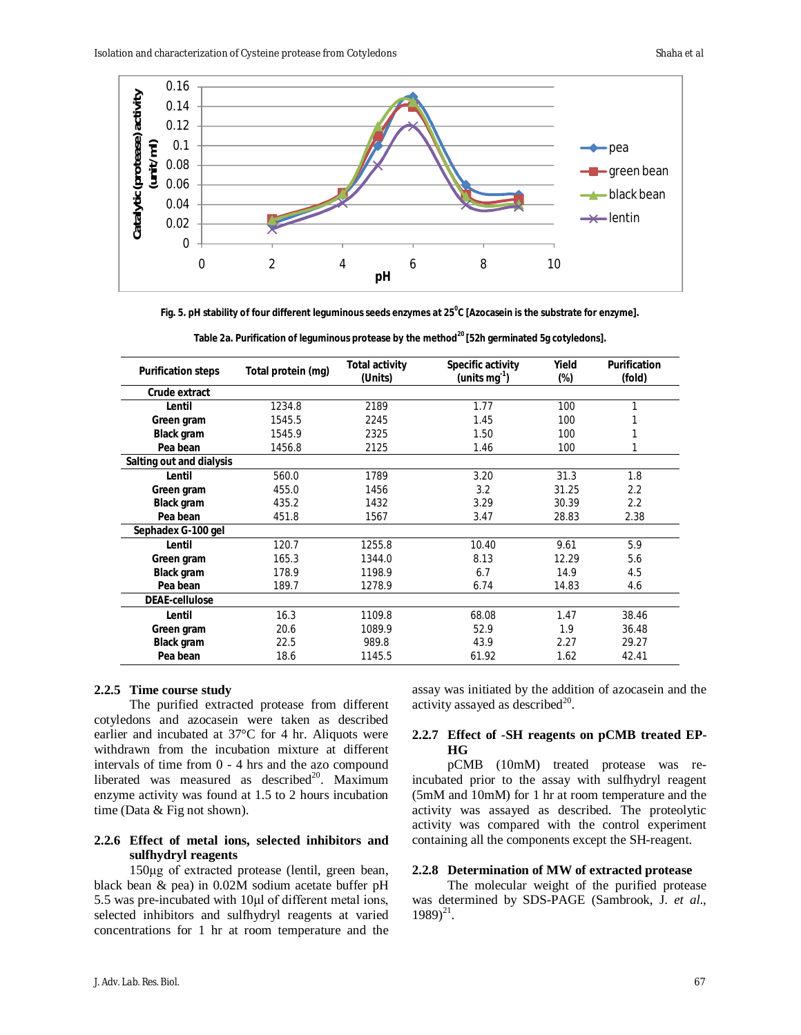

**Fig. 5. pH stability of four different leguminous seeds enzymes at 25<sup>0</sup> C [Azocasein is the substrate for enzyme].**

| <b>Purification steps</b> | Total protein (mg) | Total activity<br>(Units) | Specific activity<br>(units mg $^{-1}$ ) | Yield<br>(%) | <b>Purification</b><br>(fold) |
|---------------------------|--------------------|---------------------------|------------------------------------------|--------------|-------------------------------|
| Crude extract             |                    |                           |                                          |              |                               |
| Lentil                    | 1234.8             | 2189                      | 1.77                                     | 100          |                               |
| Green gram                | 1545.5             | 2245                      | 1.45                                     | 100          |                               |
| <b>Black gram</b>         | 1545.9             | 2325                      | 1.50                                     | 100          |                               |
| Pea bean                  | 1456.8             | 2125                      | 1.46                                     | 100          |                               |
| Salting out and dialysis  |                    |                           |                                          |              |                               |
| Lentil                    | 560.0              | 1789                      | 3.20                                     | 31.3         | 1.8                           |
| Green gram                | 455.0              | 1456                      | 3.2                                      | 31.25        | 2.2                           |
| <b>Black gram</b>         | 435.2              | 1432                      | 3.29                                     | 30.39        | 2.2                           |
| Pea bean                  | 451.8              | 1567                      | 3.47                                     | 28.83        | 2.38                          |
| Sephadex G-100 gel        |                    |                           |                                          |              |                               |
| Lentil                    | 120.7              | 1255.8                    | 10.40                                    | 9.61         | 5.9                           |
| Green gram                | 165.3              | 1344.0                    | 8.13                                     | 12.29        | 5.6                           |
| <b>Black gram</b>         | 178.9              | 1198.9                    | 6.7                                      | 14.9         | 4.5                           |
| Pea bean                  | 189.7              | 1278.9                    | 6.74                                     | 14.83        | 4.6                           |
| <b>DEAE-cellulose</b>     |                    |                           |                                          |              |                               |
| Lentil                    | 16.3               | 1109.8                    | 68.08                                    | 1.47         | 38.46                         |
| Green gram                | 20.6               | 1089.9                    | 52.9                                     | 1.9          | 36.48                         |
| <b>Black gram</b>         | 22.5               | 989.8                     | 43.9                                     | 2.27         | 29.27                         |
| Pea bean                  | 18.6               | 1145.5                    | 61.92                                    | 1.62         | 42.41                         |

**Table 2a. Purification of leguminous protease by the method<sup>20</sup> [52h germinated 5g cotyledons].**

# **2.2.5 Time course study**

The purified extracted protease from different cotyledons and azocasein were taken as described earlier and incubated at 37°C for 4 hr. Aliquots were withdrawn from the incubation mixture at different intervals of time from 0 - 4 hrs and the azo compound liberated was measured as described<sup>20</sup>. Maximum enzyme activity was found at 1.5 to 2 hours incubation time (Data & Fig not shown).

# **2.2.6 Effect of metal ions, selected inhibitors and sulfhydryl reagents**

150μg of extracted protease (lentil, green bean, black bean & pea) in 0.02M sodium acetate buffer pH 5.5 was pre-incubated with 10μl of different metal ions, selected inhibitors and sulfhydryl reagents at varied concentrations for 1 hr at room temperature and the

assay was initiated by the addition of azocasein and the activity assayed as described $^{20}$ .

# **2.2.7 Effect of -SH reagents on pCMB treated EP-HG**

pCMB (10mM) treated protease was reincubated prior to the assay with sulfhydryl reagent (5mM and 10mM) for 1 hr at room temperature and the activity was assayed as described. The proteolytic activity was compared with the control experiment containing all the components except the SH-reagent.

# **2.2.8 Determination of MW of extracted protease**

The molecular weight of the purified protease was determined by SDS-PAGE (Sambrook, J. *et al*.,  $1989)^{21}$ .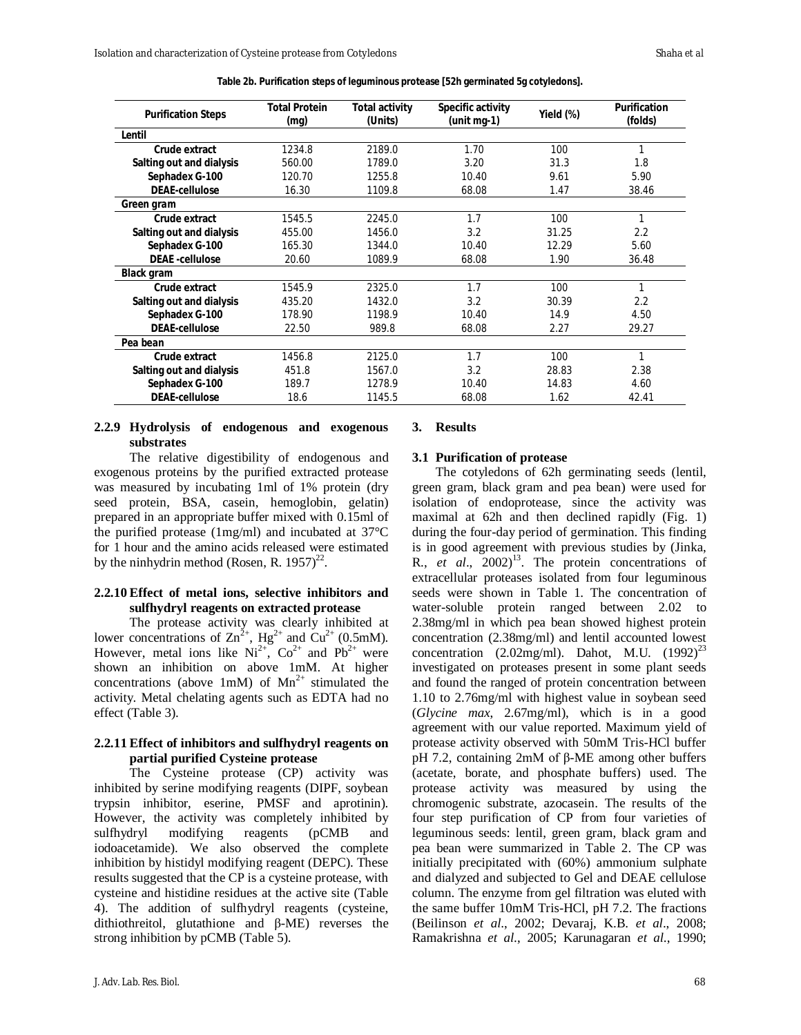| <b>Purification Steps</b> | <b>Total Protein</b><br>(mq) | <b>Total activity</b><br>(Units) | Specific activity<br>$(unit$ mg-1) | Yield (%) | <b>Purification</b><br>(folds) |
|---------------------------|------------------------------|----------------------------------|------------------------------------|-----------|--------------------------------|
| Lentil                    |                              |                                  |                                    |           |                                |
| Crude extract             | 1234.8                       | 2189.0                           | 1.70                               | 100       |                                |
| Salting out and dialysis  | 560.00                       | 1789.0                           | 3.20                               | 31.3      | 1.8                            |
| Sephadex G-100            | 120.70                       | 1255.8                           | 10.40                              | 9.61      | 5.90                           |
| <b>DEAF-cellulose</b>     | 16.30                        | 1109.8                           | 68.08                              | 1.47      | 38.46                          |
| Green gram                |                              |                                  |                                    |           |                                |
| Crude extract             | 1545.5                       | 2245.0                           | 1.7                                | 100       | 1                              |
| Salting out and dialysis  | 455.00                       | 1456.0                           | 3.2                                | 31.25     | 2.2                            |
| Sephadex G-100            | 165.30                       | 1344.0                           | 10.40                              | 12.29     | 5.60                           |
| <b>DEAE</b> -cellulose    | 20.60                        | 1089.9                           | 68.08                              | 1.90      | 36.48                          |
| Black gram                |                              |                                  |                                    |           |                                |
| Crude extract             | 1545.9                       | 2325.0                           | 1.7                                | 100       | 1                              |
| Salting out and dialysis  | 435.20                       | 1432.0                           | 3.2                                | 30.39     | 2.2                            |
| Sephadex G-100            | 178.90                       | 1198.9                           | 10.40                              | 14.9      | 4.50                           |
| <b>DEAE-cellulose</b>     | 22.50                        | 989.8                            | 68.08                              | 2.27      | 29.27                          |
| Pea bean                  |                              |                                  |                                    |           |                                |
| Crude extract             | 1456.8                       | 2125.0                           | 1.7                                | 100       | 1                              |
| Salting out and dialysis  | 451.8                        | 1567.0                           | 3.2                                | 28.83     | 2.38                           |
| Sephadex G-100            | 189.7                        | 1278.9                           | 10.40                              | 14.83     | 4.60                           |
| <b>DEAE-cellulose</b>     | 18.6                         | 1145.5                           | 68.08                              | 1.62      | 42.41                          |

## **2.2.9 Hydrolysis of endogenous and exogenous substrates**

The relative digestibility of endogenous and exogenous proteins by the purified extracted protease was measured by incubating 1ml of 1% protein (dry seed protein, BSA, casein, hemoglobin, gelatin) prepared in an appropriate buffer mixed with 0.15ml of the purified protease (1mg/ml) and incubated at 37°C for 1 hour and the amino acids released were estimated by the ninhydrin method (Rosen, R. 1957)<sup>22</sup>.

## **2.2.10 Effect of metal ions, selective inhibitors and sulfhydryl reagents on extracted protease**

The protease activity was clearly inhibited at lower concentrations of  $\text{Zn}^2$ <sup>+</sup>, Hg<sup>2+</sup> and Cu<sup>2+</sup> (0.5mM). However, metal ions like  $Ni^{2+}$ ,  $Co^{2+}$  and  $Pb^{2+}$  were shown an inhibition on above 1mM. At higher concentrations (above 1mM) of  $Mn^{2+}$  stimulated the activity. Metal chelating agents such as EDTA had no effect (Table 3).

## **2.2.11 Effect of inhibitors and sulfhydryl reagents on partial purified Cysteine protease**

The Cysteine protease (CP) activity was inhibited by serine modifying reagents (DIPF, soybean trypsin inhibitor, eserine, PMSF and aprotinin). However, the activity was completely inhibited by sulfhydryl modifying reagents (pCMB and iodoacetamide). We also observed the complete inhibition by histidyl modifying reagent (DEPC). These results suggested that the CP is a cysteine protease, with cysteine and histidine residues at the active site (Table 4). The addition of sulfhydryl reagents (cysteine, dithiothreitol, glutathione and β-ME) reverses the strong inhibition by pCMB (Table 5).

## **3. Results**

#### **3.1 Purification of protease**

The cotyledons of 62h germinating seeds (lentil, green gram, black gram and pea bean) were used for isolation of endoprotease, since the activity was maximal at 62h and then declined rapidly (Fig. 1) during the four-day period of germination. This finding is in good agreement with previous studies by (Jinka, R.,  $et \, al., \, 2002)^{13}$ . The protein concentrations of extracellular proteases isolated from four leguminous seeds were shown in Table 1. The concentration of water-soluble protein ranged between 2.02 to 2.38mg/ml in which pea bean showed highest protein concentration (2.38mg/ml) and lentil accounted lowest concentration (2.02mg/ml). Dahot, M.U.  $(1992)^{23}$ investigated on proteases present in some plant seeds and found the ranged of protein concentration between 1.10 to 2.76mg/ml with highest value in soybean seed (*Glycine max*, 2.67mg/ml), which is in a good agreement with our value reported. Maximum yield of protease activity observed with 50mM Tris-HCl buffer pH 7.2, containing 2mM of β-ME among other buffers (acetate, borate, and phosphate buffers) used. The protease activity was measured by using the chromogenic substrate, azocasein. The results of the four step purification of CP from four varieties of leguminous seeds: lentil, green gram, black gram and pea bean were summarized in Table 2. The CP was initially precipitated with (60%) ammonium sulphate and dialyzed and subjected to Gel and DEAE cellulose column. The enzyme from gel filtration was eluted with the same buffer 10mM Tris-HCl, pH 7.2. The fractions (Beilinson *et al*., 2002; Devaraj, K.B. *et al*., 2008; Ramakrishna *et al*., 2005; Karunagaran *et al*., 1990;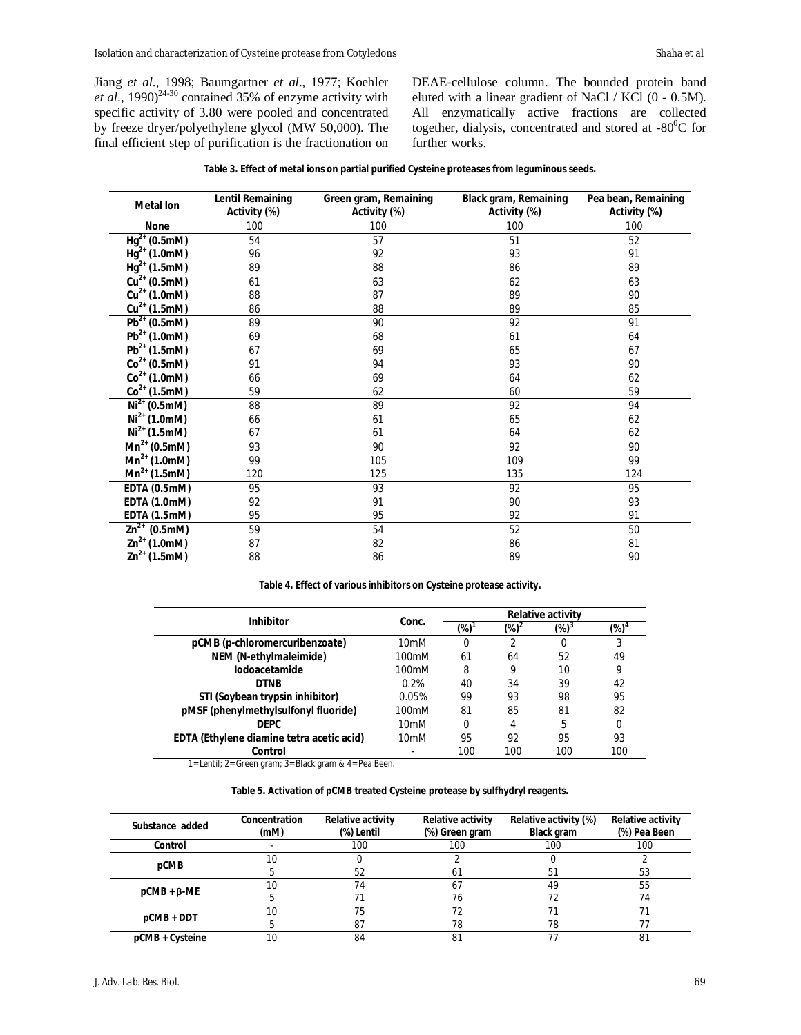Jiang *et al*., 1998; Baumgartner *et al*., 1977; Koehler *et al.*,  $1990)^{24-30}$  contained 35% of enzyme activity with specific activity of 3.80 were pooled and concentrated by freeze dryer/polyethylene glycol (MW 50,000). The final efficient step of purification is the fractionation on

DEAE-cellulose column. The bounded protein band eluted with a linear gradient of NaCl / KCl (0 - 0.5M). All enzymatically active fractions are collected together, dialysis, concentrated and stored at -80 $^0C$  for further works.

|  |  |  |  |  |  |  | Table 3. Effect of metal ions on partial purified Cysteine proteases from leguminous seeds. |  |
|--|--|--|--|--|--|--|---------------------------------------------------------------------------------------------|--|
|--|--|--|--|--|--|--|---------------------------------------------------------------------------------------------|--|

| <b>Metal lon</b>                    | <b>Lentil Remaining</b><br>Activity (%) | Green gram, Remaining<br>Activity (%) | <b>Black gram, Remaining</b><br>Activity (%) | Pea bean, Remaining<br>Activity (%) |
|-------------------------------------|-----------------------------------------|---------------------------------------|----------------------------------------------|-------------------------------------|
| <b>None</b>                         | 100                                     | 100                                   | 100                                          | 100                                 |
| $Hg^{2+}$ (0.5mM)                   | 54                                      | 57                                    | 51                                           | 52                                  |
| $Hg^{2+}$ (1.0mM)                   | 96                                      | 92                                    | 93                                           | 91                                  |
| $Hg^{2+}$ (1.5mM)                   | 89                                      | 88                                    | 86                                           | 89                                  |
| $\overline{Cu^{2+}(0.5)}$ mM)       | 61                                      | 63                                    | 62                                           | 63                                  |
| $Cu2+ (1.0mM)$                      | 88                                      | 87                                    | 89                                           | 90                                  |
| $Cu^{2+}$ (1.5mM)                   | 86                                      | 88                                    | 89                                           | 85                                  |
| $\overline{Pb^{2+}}(0.5mM)$         | 89                                      | 90                                    | 92                                           | 91                                  |
| $Pb^{2+}$ (1.0mM)                   | 69                                      | 68                                    | 61                                           | 64                                  |
| $Pb^{2+}$ (1.5mM)                   | 67                                      | 69                                    | 65                                           | 67                                  |
| $Co2+ (0.5mM)$                      | 91                                      | 94                                    | 93                                           | 90                                  |
| $Co2+ (1.0mM)$                      | 66                                      | 69                                    | 64                                           | 62                                  |
| $Co2+ (1.5mM)$                      | 59                                      | 62                                    | 60                                           | 59                                  |
| $\overline{\text{Ni}}^{2+}$ (0.5mM) | 88                                      | 89                                    | 92                                           | 94                                  |
| $Ni2+ (1.0mM)$                      | 66                                      | 61                                    | 65                                           | 62                                  |
| $Ni2+ (1.5mM)$                      | 67                                      | 61                                    | 64                                           | 62                                  |
| $Mn^{2+}$ (0.5mM)                   | 93                                      | 90                                    | 92                                           | 90                                  |
| $Mn^{2+}$ (1.0mM)                   | 99                                      | 105                                   | 109                                          | 99                                  |
| $Mn^{2+}$ (1.5mM)                   | 120                                     | 125                                   | 135                                          | 124                                 |
| <b>EDTA (0.5mM)</b>                 | 95                                      | 93                                    | 92                                           | 95                                  |
| <b>EDTA (1.0mM)</b>                 | 92                                      | 91                                    | 90                                           | 93                                  |
| <b>EDTA (1.5mM)</b>                 | 95                                      | 95                                    | 92                                           | 91                                  |
| $\overline{2n^{2+}}$ (0.5mM)        | 59                                      | 54                                    | 52                                           | 50                                  |
| $\text{Zn}^{2+}$ (1.0mM)            | 87                                      | 82                                    | 86                                           | 81                                  |
| $\text{Zn}^{2+}$ (1.5mM)            | 88                                      | 86                                    | 89                                           | 90                                  |

#### **Table 4. Effect of various inhibitors on Cysteine protease activity.**

| <b>Inhibitor</b>                          | Conc.            | <b>Relative activity</b> |          |                  |                |
|-------------------------------------------|------------------|--------------------------|----------|------------------|----------------|
|                                           |                  | (%)                      | $(\%)^2$ | (%) <sup>3</sup> | $(\%)^{\circ}$ |
| pCMB (p-chloromercuribenzoate)            | 10 <sub>mM</sub> | 0                        | 2        | 0                | 3              |
| NEM (N-ethylmaleimide)                    | 100mM            | 61                       | 64       | 52               | 49             |
| <b>lodoacetamide</b>                      | 100mM            | 8                        | 9        | 10               | 9              |
| <b>DTNB</b>                               | 0.2%             | 40                       | 34       | 39               | 42             |
| STI (Soybean trypsin inhibitor)           | 0.05%            | 99                       | 93       | 98               | 95             |
| pMSF (phenylmethylsulfonyl fluoride)      | 100mM            | 81                       | 85       | 81               | 82             |
| <b>DEPC</b>                               | 10 <sub>mM</sub> | 0                        | 4        | 5                | 0              |
| EDTA (Ethylene diamine tetra acetic acid) | 10 <sub>mM</sub> | 95                       | 92       | 95               | 93             |
| Control                                   |                  | 100                      | 100      | 100              | 100            |

1= Lentil; 2= Green gram; 3= Black gram & 4= Pea Been.

# **Table 5. Activation of pCMB treated Cysteine protease by sulfhydryl reagents.**

| Substance added   | <b>Concentration</b><br>(mM) | <b>Relative activity</b><br>(%) Lentil | <b>Relative activity</b><br>(%) Green gram | Relative activity (%)<br><b>Black gram</b> | <b>Relative activity</b><br>(%) Pea Been |
|-------------------|------------------------------|----------------------------------------|--------------------------------------------|--------------------------------------------|------------------------------------------|
| Control           |                              | 100                                    | 100                                        | 100                                        | 100                                      |
| pCMB              | 10                           |                                        |                                            |                                            |                                          |
|                   |                              | 52                                     | 61                                         | 51                                         | 53                                       |
| $pCMB + \beta-ME$ |                              | 74                                     | 6.                                         | 49                                         | 55                                       |
|                   |                              |                                        | 76                                         |                                            | 74                                       |
| $pCMB + DDT$      | 10                           | 75                                     | 72                                         |                                            |                                          |
|                   |                              | 87                                     | 78                                         | 78                                         |                                          |
| pCMB + Cysteine   |                              | 84                                     | 81                                         |                                            | 81                                       |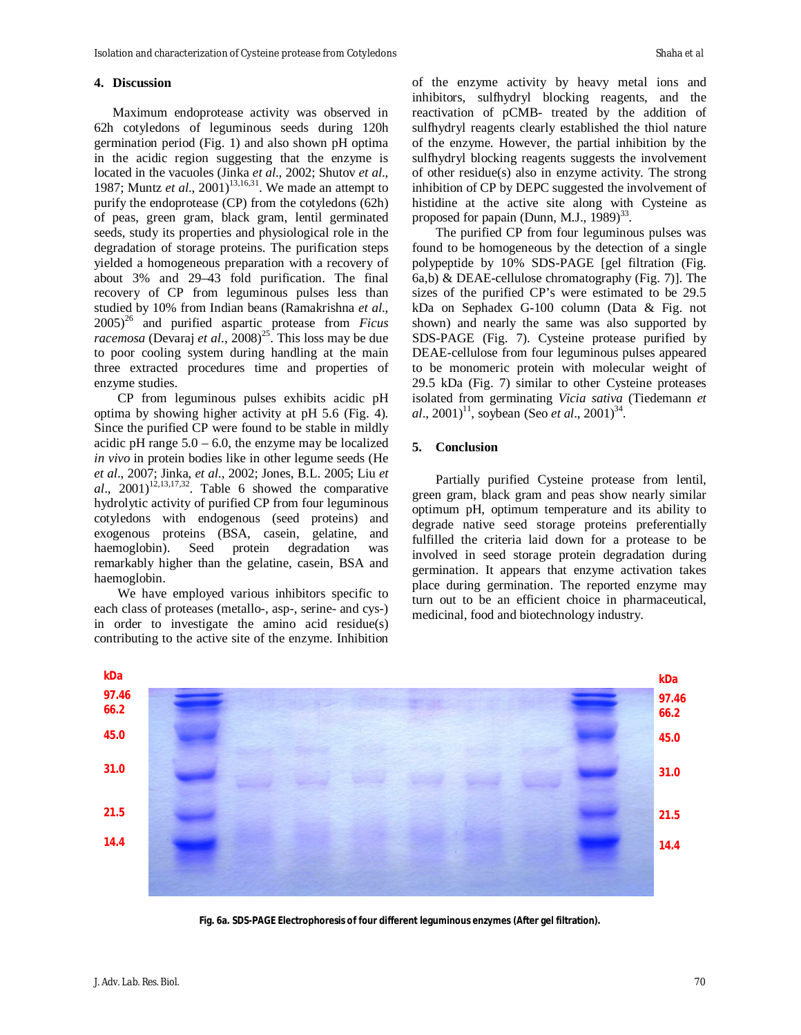## **4. Discussion**

Maximum endoprotease activity was observed in 62h cotyledons of leguminous seeds during 120h germination period (Fig. 1) and also shown pH optima in the acidic region suggesting that the enzyme is located in the vacuoles (Jinka *et al*., 2002; Shutov *et al*., 1987; Muntz *et al.*, 2001)<sup>13,16,31</sup>. We made an attempt to purify the endoprotease (CP) from the cotyledons (62h) of peas, green gram, black gram, lentil germinated seeds, study its properties and physiological role in the degradation of storage proteins. The purification steps yielded a homogeneous preparation with a recovery of about 3% and 29–43 fold purification. The final recovery of CP from leguminous pulses less than studied by 10% from Indian beans (Ramakrishna *et al*., 2005)<sup>26</sup> and purified aspartic protease from *Ficus racemosa* (Devaraj *et al.*, 2008)<sup>25</sup>. This loss may be due to poor cooling system during handling at the main three extracted procedures time and properties of enzyme studies.

CP from leguminous pulses exhibits acidic pH optima by showing higher activity at pH 5.6 (Fig. 4). Since the purified CP were found to be stable in mildly acidic pH range  $5.0 - 6.0$ , the enzyme may be localized *in vivo* in protein bodies like in other legume seeds (He *et al*., 2007; Jinka, *et al*., 2002; Jones, B.L. 2005; Liu *et*   $al$ ,  $2001$ <sup>12,13,17,32</sup>. Table 6 showed the comparative hydrolytic activity of purified CP from four leguminous cotyledons with endogenous (seed proteins) and exogenous proteins (BSA, casein, gelatine, and haemoglobin). Seed protein degradation was remarkably higher than the gelatine, casein, BSA and haemoglobin.

We have employed various inhibitors specific to each class of proteases (metallo-, asp-, serine- and cys-) in order to investigate the amino acid residue(s) contributing to the active site of the enzyme. Inhibition

of the enzyme activity by heavy metal ions and inhibitors, sulfhydryl blocking reagents, and the reactivation of pCMB- treated by the addition of sulfhydryl reagents clearly established the thiol nature of the enzyme. However, the partial inhibition by the sulfhydryl blocking reagents suggests the involvement of other residue(s) also in enzyme activity. The strong inhibition of CP by DEPC suggested the involvement of histidine at the active site along with Cysteine as proposed for papain (Dunn, M.J.,  $1989)^{33}$ .

The purified CP from four leguminous pulses was found to be homogeneous by the detection of a single polypeptide by 10% SDS-PAGE [gel filtration (Fig. 6a,b) & DEAE-cellulose chromatography (Fig. 7)]. The sizes of the purified CP's were estimated to be 29.5 kDa on Sephadex G-100 column (Data & Fig. not shown) and nearly the same was also supported by SDS-PAGE (Fig. 7). Cysteine protease purified by DEAE-cellulose from four leguminous pulses appeared to be monomeric protein with molecular weight of 29.5 kDa (Fig. 7) similar to other Cysteine proteases isolated from germinating *Vicia sativa* (Tiedemann *et*   $al., 2001$ <sup>11</sup>, soybean (Seo *et al.*, 2001)<sup>34</sup>.

## **5. Conclusion**

Partially purified Cysteine protease from lentil, green gram, black gram and peas show nearly similar optimum pH, optimum temperature and its ability to degrade native seed storage proteins preferentially fulfilled the criteria laid down for a protease to be involved in seed storage protein degradation during germination. It appears that enzyme activation takes place during germination. The reported enzyme may turn out to be an efficient choice in pharmaceutical, medicinal, food and biotechnology industry.



**Fig. 6a. SDS-PAGE Electrophoresis of four different leguminous enzymes (After gel filtration).**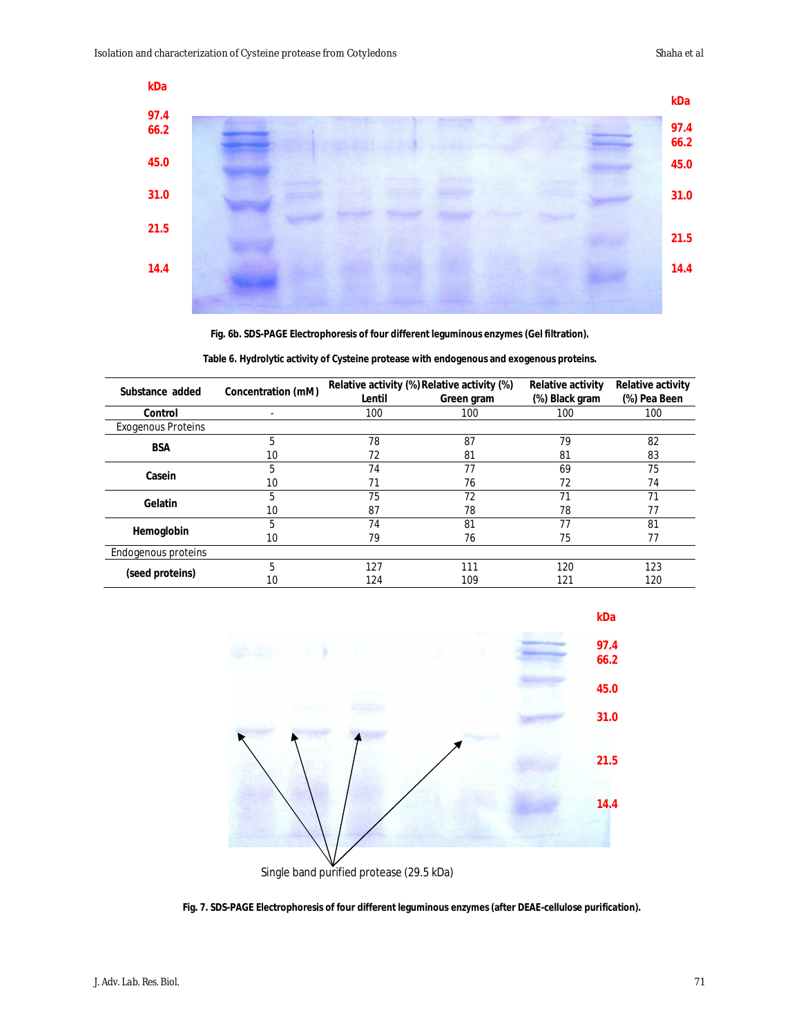

**Fig. 6b. SDS-PAGE Electrophoresis of four different leguminous enzymes (Gel filtration).**

**Table 6. Hydrolytic activity of Cysteine protease with endogenous and exogenous proteins.**

| Substance added           | <b>Concentration (mM)</b> |        | Relative activity (%) Relative activity (%) | <b>Relative activity</b> | <b>Relative activity</b> |
|---------------------------|---------------------------|--------|---------------------------------------------|--------------------------|--------------------------|
|                           |                           | Lentil | Green gram                                  | (%) Black gram           | (%) Pea Been             |
| Control                   |                           | 100    | 100                                         | 100                      | 100                      |
| <b>Exogenous Proteins</b> |                           |        |                                             |                          |                          |
| <b>BSA</b>                | 5                         | 78     | 87                                          | 79                       | 82                       |
|                           | 10                        | 72     | 81                                          | 81                       | 83                       |
| Casein                    | 5                         | 74     | 77                                          | 69                       | 75                       |
|                           | 10                        | 71     | 76                                          | 72                       | 74                       |
| Gelatin                   | 5                         | 75     | 72                                          | 71                       | 71                       |
|                           | 10                        | 87     | 78                                          | 78                       | 77                       |
| Hemoglobin                | 5                         | 74     | 81                                          | 77                       | 81                       |
|                           | 10                        | 79     | 76                                          | 75                       | 77                       |
| Endogenous proteins       |                           |        |                                             |                          |                          |
| (seed proteins)           | 5                         | 127    | 111                                         | 120                      | 123                      |
|                           | 10                        | 124    | 109                                         | 121                      | 120                      |



**Fig. 7. SDS-PAGE Electrophoresis of four different leguminous enzymes (after DEAE-cellulose purification).**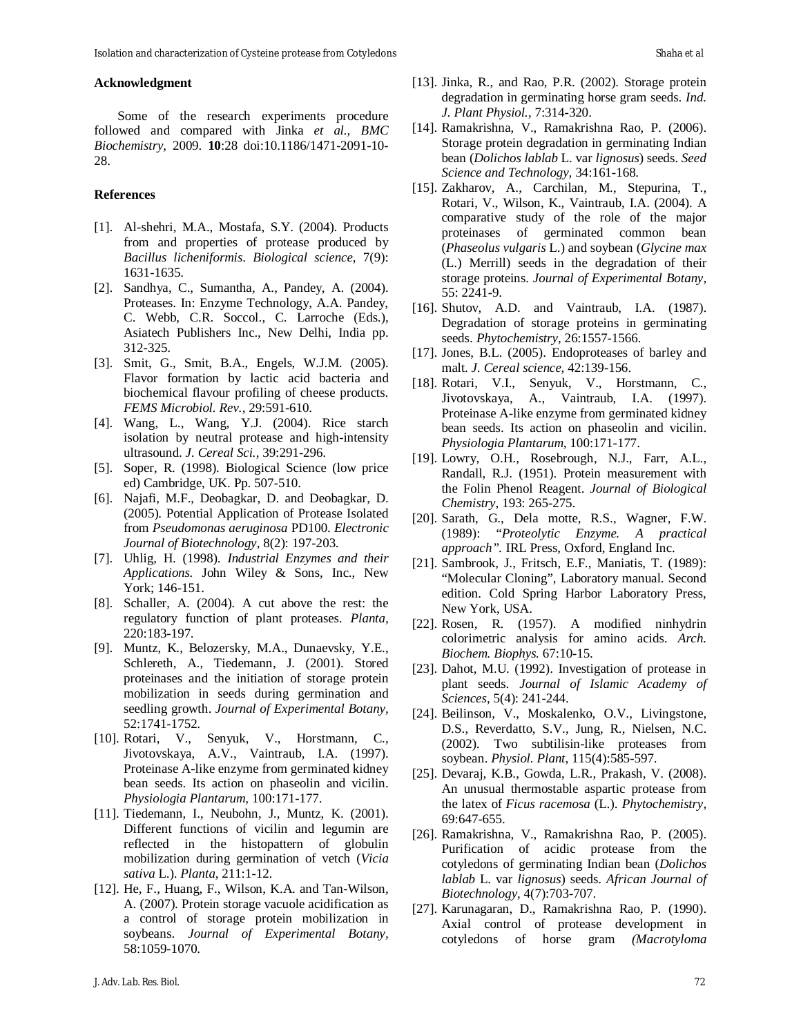#### **Acknowledgment**

Some of the research experiments procedure followed and compared with Jinka *et al., BMC Biochemistry,* 2009. **10**:28 doi:10.1186/1471-2091-10- 28.

#### **References**

- [1]. Al-shehri, M.A., Mostafa, S.Y. (2004). Products from and properties of protease produced by *Bacillus licheniformis*. *Biological science*, 7(9): 1631-1635.
- [2]. Sandhya, C., Sumantha, A., Pandey, A. (2004). Proteases. In: Enzyme Technology, A.A. Pandey, C. Webb, C.R. Soccol., C. Larroche (Eds.), Asiatech Publishers Inc., New Delhi, India pp. 312-325.
- [3]. Smit, G., Smit, B.A., Engels, W.J.M. (2005). Flavor formation by lactic acid bacteria and biochemical flavour profiling of cheese products. *FEMS Microbiol. Rev.*, 29:591-610.
- [4]. Wang, L., Wang, Y.J. (2004). Rice starch isolation by neutral protease and high-intensity ultrasound. *J. Cereal Sci.*, 39:291-296.
- [5]. Soper, R. (1998). Biological Science (low price ed) Cambridge, UK. Pp. 507-510.
- [6]. Najafi, M.F., Deobagkar, D. and Deobagkar, D. (2005). Potential Application of Protease Isolated from *Pseudomonas aeruginosa* PD100. *Electronic Journal of Biotechnology,* 8(2): 197-203.
- [7]. Uhlig, H. (1998). *Industrial Enzymes and their Applications.* John Wiley & Sons, Inc., New York; 146-151.
- [8]. Schaller, A. (2004). A cut above the rest: the regulatory function of plant proteases. *Planta,* 220:183-197.
- [9]. Muntz, K., Belozersky, M.A., Dunaevsky, Y.E., Schlereth, A., Tiedemann, J. (2001). Stored proteinases and the initiation of storage protein mobilization in seeds during germination and seedling growth. *Journal of Experimental Botany,* 52:1741-1752.
- [10]. Rotari, V., Senyuk, V., Horstmann, C., Jivotovskaya, A.V., Vaintraub, I.A. (1997). Proteinase A-like enzyme from germinated kidney bean seeds. Its action on phaseolin and vicilin. *Physiologia Plantarum,* 100:171-177.
- [11]. Tiedemann, I., Neubohn, J., Muntz, K. (2001). Different functions of vicilin and legumin are reflected in the histopattern of globulin mobilization during germination of vetch (*Vicia sativa* L.). *Planta*, 211:1-12.
- [12]. He, F., Huang, F., Wilson, K.A. and Tan-Wilson, A. (2007). Protein storage vacuole acidification as a control of storage protein mobilization in soybeans. *Journal of Experimental Botany,* 58:1059-1070.
- [13]. Jinka, R., and Rao, P.R. (2002). Storage protein degradation in germinating horse gram seeds. *Ind. J. Plant Physiol.,* 7:314-320.
- [14]. Ramakrishna, V., Ramakrishna Rao, P. (2006). Storage protein degradation in germinating Indian bean (*Dolichos lablab* L. var *lignosus*) seeds. *Seed Science and Technology,* 34:161-168.
- [15]. Zakharov, A., Carchilan, M., Stepurina, T., Rotari, V., Wilson, K., Vaintraub, I.A. (2004). A comparative study of the role of the major proteinases of germinated common bean (*Phaseolus vulgaris* L.) and soybean (*Glycine max*  (L.) Merrill) seeds in the degradation of their storage proteins. *Journal of Experimental Botany,* 55: 2241-9.
- [16]. Shutov, A.D. and Vaintraub, I.A. (1987). Degradation of storage proteins in germinating seeds. *Phytochemistry*, 26:1557-1566.
- [17]. Jones, B.L. (2005). Endoproteases of barley and malt. *J. Cereal science,* 42:139-156.
- [18]. Rotari, V.I., Senyuk, V., Horstmann, C., Jivotovskaya, A., Vaintraub, I.A. (1997). Proteinase A-like enzyme from germinated kidney bean seeds. Its action on phaseolin and vicilin. *Physiologia Plantarum,* 100:171-177.
- [19]. Lowry, O.H., Rosebrough, N.J., Farr, A.L., Randall, R.J. (1951). Protein measurement with the Folin Phenol Reagent. *Journal of Biological Chemistry*, 193: 265-275.
- [20]. Sarath, G., Dela motte, R.S., Wagner, F.W. (1989): "*Proteolytic Enzyme. A practical approach".* IRL Press, Oxford, England Inc.
- [21]. Sambrook, J., Fritsch, E.F., Maniatis, T. (1989): "Molecular Cloning", Laboratory manual. Second edition. Cold Spring Harbor Laboratory Press, New York, USA.
- [22]. Rosen, R. (1957). A modified ninhydrin colorimetric analysis for amino acids. *Arch. Biochem. Biophys.* 67:10-15.
- [23]. Dahot, M.U. (1992). Investigation of protease in plant seeds. *Journal of Islamic Academy of Sciences*, 5(4): 241-244.
- [24]. Beilinson, V., Moskalenko, O.V., Livingstone, D.S., Reverdatto, S.V., Jung, R., Nielsen, N.C. (2002). Two subtilisin-like proteases from soybean. *Physiol. Plant,* 115(4):585-597.
- [25]. Devaraj, K.B., Gowda, L.R., Prakash, V. (2008). An unusual thermostable aspartic protease from the latex of *Ficus racemosa* (L.). *Phytochemistry,* 69:647-655.
- [26]. Ramakrishna, V., Ramakrishna Rao, P. (2005). Purification of acidic protease from the cotyledons of germinating Indian bean (*Dolichos lablab* L. var *lignosus*) seeds. *African Journal of Biotechnology,* 4(7):703-707.
- [27]. Karunagaran, D., Ramakrishna Rao, P. (1990). Axial control of protease development in cotyledons of horse gram *(Macrotyloma*